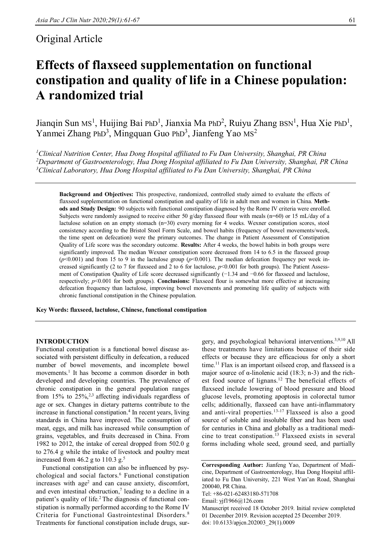# Original Article

# **Effects of flaxseed supplementation on functional constipation and quality of life in a Chinese population: A randomized trial**

Jianqin Sun Ms<sup>1</sup>, Huijing Bai PhD<sup>1</sup>, Jianxia Ma PhD<sup>2</sup>, Ruiyu Zhang BSN<sup>1</sup>, Hua Xie PhD<sup>1</sup>, Yanmei Zhang PhD<sup>3</sup>, Mingquan Guo PhD<sup>3</sup>, Jianfeng Yao MS<sup>2</sup>

*<sup>1</sup>Clinical Nutrition Center, Hua Dong Hospital affiliated to Fu Dan University, Shanghai, PR China <sup>2</sup>Department of Gastroenterology, Hua Dong Hospital affiliated to Fu Dan University, Shanghai, PR China <sup>3</sup>Clinical Laboratory, Hua Dong Hospital affiliated to Fu Dan University, Shanghai, PR China*

**Background and Objectives:** This prospective, randomized, controlled study aimed to evaluate the effects of flaxseed supplementation on functional constipation and quality of life in adult men and women in China. **Methods and Study Design:** 90 subjects with functional constipation diagnosed by the Rome IV criteria were enrolled. Subjects were randomly assigned to receive either 50 g/day flaxseed flour with meals (n=60) or 15 mL/day of a lactulose solution on an empty stomach (n=30) every morning for 4 weeks. Wexner constipation scores, stool consistency according to the Bristol Stool Form Scale, and bowel habits (frequency of bowel movements/week, the time spent on defecation) were the primary outcomes. The change in Patient Assessment of Constipation Quality of Life score was the secondary outcome. **Results:** After 4 weeks, the bowel habits in both groups were significantly improved. The median Wexner constipation score decreased from 14 to 6.5 in the flaxseed group  $(p<0.001)$  and from 15 to 9 in the lactulose group  $(p<0.001)$ . The median defecation frequency per week increased significantly (2 to 7 for flaxseed and 2 to 6 for lactulose,  $p$ <0.001 for both groups). The Patient Assessment of Constipation Quality of Life score decreased significantly (−1.34 and −0.66 for flaxseed and lactulose, respectively; *p*<0.001 for both groups). **Conclusions:** Flaxseed flour is somewhat more effective at increasing defecation frequency than lactulose, improving bowel movements and promoting life quality of subjects with chronic functional constipation in the Chinese population.

**Key Words: flaxseed, lactulose, Chinese, functional constipation**

# **INTRODUCTION**

Functional constipation is a functional bowel disease associated with persistent difficulty in defecation, a reduced number of bowel movements, and incomplete bowel movements.<sup>1</sup> It has become a common disorder in both developed and developing countries. The prevalence of chronic constipation in the general population ranges from 15% to  $25\%,^{2,3}$  affecting individuals regardless of age or sex. Changes in dietary patterns contribute to the increase in functional constipation.<sup>4</sup> In recent years, living standards in China have improved. The consumption of meat, eggs, and milk has increased while consumption of grains, vegetables, and fruits decreased in China. From 1982 to 2012, the intake of cereal dropped from 502.0 g to 276.4 g while the intake of livestock and poultry meat increased from 46.2 g to 110.3 g.<sup>5</sup>

Functional constipation can also be influenced by psychological and social factors.<sup>6</sup> Functional constipation increases with  $age<sup>2</sup>$  and can cause anxiety, discomfort, and even intestinal obstruction,<sup>7</sup> leading to a decline in a patient's quality of life.<sup>2</sup> The diagnosis of functional constipation is normally performed according to the Rome IV Criteria for Functional Gastrointestinal Disorders.<sup>8</sup> Treatments for functional constipation include drugs, surgery, and psychological behavioral interventions.3,9,10 All these treatments have limitations because of their side effects or because they are efficacious for only a short time.<sup>11</sup> Flax is an important oilseed crop, and flaxseed is a major source of  $\alpha$ -linolenic acid (18:3; n-3) and the richest food source of lignans.<sup>12</sup> The beneficial effects of flaxseed include lowering of blood pressure and blood glucose levels, promoting apoptosis in colorectal tumor cells; additionally, flaxseed can have anti-inflammatory and anti-viral properties.<sup>13-17</sup> Flaxseed is also a good source of soluble and insoluble fiber and has been used for centuries in China and globally as a traditional medicine to treat constipation.<sup>13</sup> Flaxseed exists in several forms including whole seed, ground seed, and partially

**Corresponding Author:** Jianfeng Yao, Department of Medicine, Department of Gastroenterology, Hua Dong Hospital affiliated to Fu Dan University, 221 West Yan'an Road, Shanghai 200040, PR China.

Tel: +86-021-62483180-571708

Email: yjf1966@126.com

Manuscript received 18 October 2019. Initial review completed 01 December 2019. Revision accepted 25 December 2019. doi: 10.6133/apjcn.202003\_29(1).0009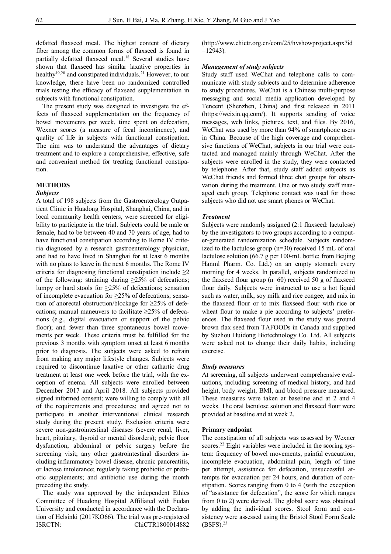defatted flaxseed meal. The highest content of dietary fiber among the common forms of flaxseed is found in partially defatted flaxseed meal.<sup>18</sup> Several studies have shown that flaxseed has similar laxative properties in healthy<sup>19,20</sup> and constipated individuals.<sup>21</sup> However, to our knowledge, there have been no randomized controlled trials testing the efficacy of flaxseed supplementation in subjects with functional constipation.

The present study was designed to investigate the effects of flaxseed supplementation on the frequency of bowel movements per week, time spent on defecation, Wexner scores (a measure of fecal incontinence), and quality of life in subjects with functional constipation. The aim was to understand the advantages of dietary treatment and to explore a comprehensive, effective, safe and convenient method for treating functional constipation.

# **METHODS**

#### *Subjects*

A total of 198 subjects from the Gastroenterology Outpatient Clinic in Huadong Hospital, Shanghai, China, and in local community health centers, were screened for eligibility to participate in the trial. Subjects could be male or female, had to be between 40 and 70 years of age, had to have functional constipation according to Rome IV criteria diagnosed by a research gastroenterology physician, and had to have lived in Shanghai for at least 6 months with no plans to leave in the next 6 months. The Rome IV criteria for diagnosing functional constipation include  $\geq 2$ of the following: straining during  $\geq$ 25% of defecations; lumpy or hard stools for  $\geq$ 25% of defecations; sensation of incomplete evacuation for ≥25% of defecations; sensation of anorectal obstruction/blockage for ≥25% of defecations; manual maneuvers to facilitate  $\geq$ 25% of defecations (e.g., digital evacuation or support of the pelvic floor); and fewer than three spontaneous bowel movements per week. These criteria must be fulfilled for the previous 3 months with symptom onset at least 6 months prior to diagnosis. The subjects were asked to refrain from making any major lifestyle changes. Subjects were required to discontinue laxative or other cathartic drug treatment at least one week before the trial, with the exception of enema. All subjects were enrolled between December 2017 and April 2018. All subjects provided signed informed consent; were willing to comply with all of the requirements and procedures; and agreed not to participate in another interventional clinical research study during the present study. Exclusion criteria were severe non-gastrointestinal diseases (severe renal, liver, heart, pituitary, thyroid or mental disorders); pelvic floor dysfunction; abdominal or pelvic surgery before the screening visit; any other gastrointestinal disorders including inflammatory bowel disease, chronic pancreatitis, or lactose intolerance; regularly taking probiotic or prebiotic supplements; and antibiotic use during the month preceding the study.

The study was approved by the independent Ethics Committee of Huadong Hospital Affiliated with Fudan University and conducted in accordance with the Declaration of Helsinki (2017KO66). The trial was pre-registered ISRCTN: ChiCTR1800014882 (http://www.chictr.org.cn/com/25/hvshowproject.aspx?id  $=12943$ ).

#### *Management of study subjects*

Study staff used WeChat and telephone calls to communicate with study subjects and to determine adherence to study procedures. WeChat is a Chinese multi-purpose messaging and social media application developed by Tencent (Shenzhen, China) and first released in 2011 (https://weixin.qq.com/). It supports sending of voice messages, web links, pictures, text, and files. By 2016, WeChat was used by more than 94% of smartphone users in China. Because of the high coverage and comprehensive functions of WeChat, subjects in our trial were contacted and managed mainly through WeChat. After the subjects were enrolled in the study, they were contacted by telephone. After that, study staff added subjects as WeChat friends and formed three chat groups for observation during the treatment. One or two study staff managed each group. Telephone contact was used for those subjects who did not use smart phones or WeChat.

#### *Treatment*

Subjects were randomly assigned (2:1 flaxseed: lactulose) by the investigators to two groups according to a computer-generated randomization schedule. Subjects randomized to the lactulose group (n=30) received 15 mL of oral lactulose solution (66.7 g per 100-mL bottle; from Beijing Hanml Pharm. Co. Ltd.) on an empty stomach every morning for 4 weeks. In parallel, subjects randomized to the flaxseed flour group  $(n=60)$  received 50 g of flaxseed flour daily. Subjects were instructed to use a hot liquid such as water, milk, soy milk and rice congee, and mix in the flaxseed flour or to mix flaxseed flour with rice or wheat flour to make a pie according to subjects' preferences. The flaxseed flour used in the study was ground brown flax seed from TAFOODs in Canada and supplied by Suzhou Huidong Biotechnology Co. Ltd. All subjects were asked not to change their daily habits, including exercise.

#### *Study measures*

At screening, all subjects underwent comprehensive evaluations, including screening of medical history, and had height, body weight, BMI, and blood pressure measured. These measures were taken at baseline and at 2 and 4 weeks. The oral lactulose solution and flaxseed flour were provided at baseline and at week 2.

#### **Primary endpoint**

The constipation of all subjects was assessed by Wexner scores.<sup>22</sup> Eight variables were included in the scoring system: frequency of bowel movements, painful evacuation, incomplete evacuation, abdominal pain, length of time per attempt, assistance for defecation, unsuccessful attempts for evacuation per 24 hours, and duration of constipation. Scores ranging from 0 to 4 (with the exception of "assistance for defecation", the score for which ranges from 0 to 2) were derived. The global score was obtained by adding the individual scores. Stool form and consistency were assessed using the Bristol Stool Form Scale  $(BSFS).<sup>23</sup>$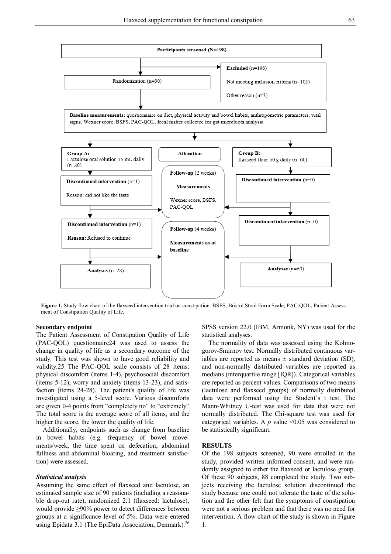

**Figure 1.** Study flow chart of the flaxseed intervention trial on constipation. BSFS, Bristol Stool Form Scale; PAC-QOL, Patient Assessment of Constipation Quality of Life.

#### **Secondary endpoint**

The Patient Assessment of Constipation Quality of Life (PAC-QOL) questionnaire24 was used to assess the change in quality of life as a secondary outcome of the study. This test was shown to have good reliability and validity.25 The PAC-QOL scale consists of 28 items: physical discomfort (items 1-4), psychosocial discomfort (items 5-12), worry and anxiety (items 13-23), and satisfaction (items 24-28). The patient's quality of life was investigated using a 5-level score. Various discomforts are given 0-4 points from "completely no" to "extremely". The total score is the average score of all items, and the higher the score, the lower the quality of life.

Additionally, endpoints such as change from baseline in bowel habits (e.g. frequency of bowel movements/week, the time spent on defecation, abdominal fullness and abdominal bloating, and treatment satisfaction) were assessed.

#### *Statistical analysis*

Assuming the same effect of flaxseed and lactulose, an estimated sample size of 90 patients (including a reasonable drop-out rate), randomized 2:1 (flaxseed: lactulose), would provide ≥90% power to detect differences between groups at a significance level of 5%. Data were entered using Epidata 3.1 (The EpiData Association, Denmark).<sup>26</sup> SPSS version 22.0 (IBM, Armonk, NY) was used for the statistical analyses.

The normality of data was assessed using the Kolmogorov-Smirnov test. Normally distributed continuous variables are reported as means  $\pm$  standard deviation (SD), and non-normally distributed variables are reported as medians (interquartile range [IQR]). Categorical variables are reported as percent values. Comparisons of two means (lactulose and flaxseed groups) of normally distributed data were performed using the Student's t test. The Mann-Whitney U-test was used for data that were not normally distributed. The Chi-square test was used for categorical variables. A  $p$  value <0.05 was considered to be statistically significant.

#### **RESULTS**

Of the 198 subjects screened, 90 were enrolled in the study, provided written informed consent, and were randomly assigned to either the flaxseed or lactulose group. Of these 90 subjects, 88 completed the study. Two subjects receiving the lactulose solution discontinued the study because one could not tolerate the taste of the solution and the other felt that the symptoms of constipation were not a serious problem and that there was no need for intervention. A flow chart of the study is shown in Figure 1.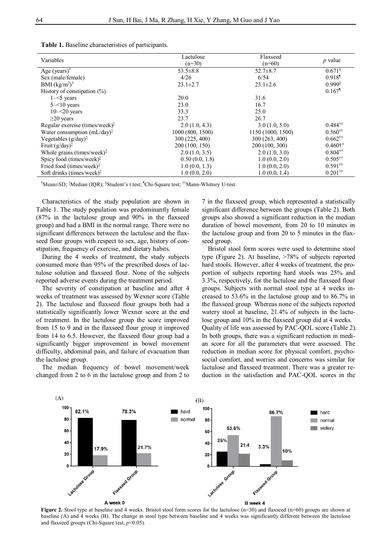| Variables                                                  | Lactulose<br>$(n=30)$ | Flaxseed<br>$(n=60)$ | $p$ value                          |  |
|------------------------------------------------------------|-----------------------|----------------------|------------------------------------|--|
| Age (years) <sup><math>\dagger</math></sup>                | $53.5 \pm 8.8$        | $52.7 \pm 8.7$       | $0.671$ <sup>§</sup>               |  |
| Sex (male/female)                                          | 4/26                  | 6/54                 | $0.918$ <sup><math>\P</math></sup> |  |
| BMI $(kg/m^2)$ <sup>†</sup>                                | $23.1 \pm 2.7$        | $23.1 \pm 2.6$       | $0.999$ <sup>§</sup>               |  |
| History of constipation $(\%)$                             |                       |                      | $0.167$ <sup>1</sup>               |  |
| $1 - 5$ years                                              | 20.0                  | 31.6                 |                                    |  |
| $5 - 10$ years                                             | 23.0                  | 16.7                 |                                    |  |
| $10 - 20$ years                                            | 33.3                  | 25.0                 |                                    |  |
| $\geq$ 20 years                                            | 23.7                  | 26.7                 |                                    |  |
| Regular exercise (times/week) $\ddagger$                   | 2.0(1.0, 4.3)         | 3.0(1.0, 5.0)        | $0.484$ <sup>††</sup>              |  |
| Water consumption $(mL/day)^{\ddagger}$                    | 1000 (800, 1500)      | 1150 (1000, 1500)    | $0.560^{\dagger\dagger}$           |  |
| Vegetables $(g/day)^{\ddagger}$                            | 300 (225, 400)        | 300 (263, 400)       | $0.662^{\dagger\dagger}$           |  |
| Fruit $(g/day)^{\ddagger}$                                 | 200 (100, 150)        | 200 (100, 300)       | $0.460$ <sup>†</sup>               |  |
| Whole grains (times/week) <sup><math>\ddagger</math></sup> | 2.0(1.0, 3.5)         | 2.0(1.0, 3.0)        | $0.804$ <sup>††</sup>              |  |
| Spicy food (times/week) $\ddagger$                         | 0.50(0.0, 1.8)        | 1.0(0.0, 2.0)        | $0.505$ <sup>††</sup>              |  |
| Fried food (times/week) $\ddagger$                         | 1.0(0.0, 1.3)         | 1.0(0.0, 2.0)        | $0.591$ <sup>††</sup>              |  |
| Soft drinks (times/week) $\ddagger$                        | 1.0(0.0, 2.0)         | 1.0(0.0, 1.4)        | $0.201$ <sup>††</sup>              |  |

†Mean±SD; ‡Median (IQR); §Student's t test; ¶Chi-Square test; ††Mann-Whitney U-test.

Characteristics of the study population are shown in Table 1. The study population was predominantly female (87% in the lactulose group and 90% in the flaxseed group) and had a BMI in the normal range. There were no significant differences between the lactulose and the flaxseed flour groups with respect to sex, age, history of constipation, frequency of exercise, and dietary habits.

During the 4 weeks of treatment, the study subjects consumed more than 95% of the prescribed doses of lactulose solution and flaxseed flour. None of the subjects reported adverse events during the treatment period.

The severity of constipation at baseline and after 4 weeks of treatment was assessed by Wexner score (Table 2). The lactulose and flaxseed flour groups both had a statistically significantly lower Wexner score at the end of treatment. In the lactulose group the score improved from 15 to 9 and in the flaxseed flour group it improved from 14 to 6.5. However, the flaxseed flour group had a significantly bigger improvement in bowel movement difficulty, abdominal pain, and failure of evacuation than the lactulose group.

The median frequency of bowel movement/week changed from 2 to 6 in the lactulose group and from 2 to

7 in the flaxseed group, which represented a statistically significant difference between the groups (Table 2). Both groups also showed a significant reduction in the median duration of bowel movement, from 20 to 10 minutes in the lactulose group and from 20 to 5 minutes in the flaxseed group.

Bristol stool form scores were used to determine stool type (Figure 2). At baseline, >78% of subjects reported hard stools. However, after 4 weeks of treatment, the proportion of subjects reporting hard stools was 25% and 3.3%, respectively, for the lactulose and the flaxseed flour groups. Subjects with normal stool type at 4 weeks increased to 53.6% in the lactulose group and to 86.7% in the flaxseed group. Whereas none of the subjects reported watery stool at baseline, 21.4% of subjects in the lactulose group and 10% in the flaxseed group did at 4 weeks. Quality of life was assessed by PAC-QOL score (Table 2). In both groups, there was a significant reduction in median score for all the parameters that were assessed. The reduction in median score for physical comfort, psychosocial comfort, and worries and concerns was similar for lactulose and flaxseed treatment. There was a greater reduction in the satisfaction and PAC-QOL scores in the



**Figure 2.** Stool type at baseline and 4 weeks. Bristol stool form scores for the lactulose (n=30) and flaxseed (n=60) groups are shown at baseline (A) and 4 weeks (B). The change in stool type between baseline and 4 weeks was significantly different between the lactulose and flaxseed groups (Chi-Square test, *p*<0.05).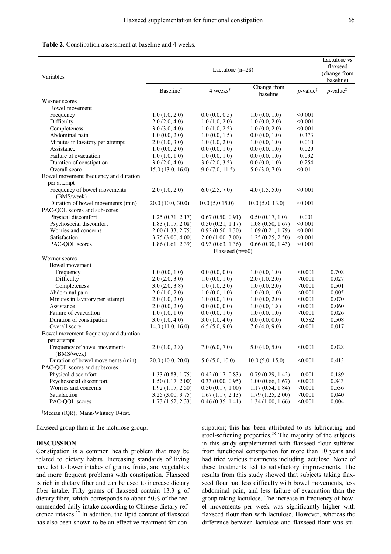#### **Table 2**. Constipation assessment at baseline and 4 weeks.

| Variables                                  | Lactulose $(n=28)$    |                                           |                         | Lactulose vs<br>flaxseed<br>(change from<br>baseline) |                                             |
|--------------------------------------------|-----------------------|-------------------------------------------|-------------------------|-------------------------------------------------------|---------------------------------------------|
|                                            | Baseline <sup>†</sup> | $4$ weeks <sup><math>\dagger</math></sup> | Change from<br>baseline | $p$ -value <sup>‡</sup>                               | $p$ -value <sup><math>\ddagger</math></sup> |
| Wexner scores                              |                       |                                           |                         |                                                       |                                             |
| Bowel movement                             |                       |                                           |                         |                                                       |                                             |
| Frequency                                  | 1.0(1.0, 2.0)         | 0.0(0.0, 0.5)                             | 1.0(0.0, 1.0)           | < 0.001                                               |                                             |
| Difficulty                                 | 2.0(2.0, 4.0)         | 1.0(1.0, 2.0)                             | 1.0(0.0, 2.0)           | < 0.001                                               |                                             |
| Completeness                               | 3.0(3.0, 4.0)         | 1.0(1.0, 2.5)                             | 1.0(0.0, 2.0)           | < 0.001                                               |                                             |
| Abdominal pain                             | 1.0(0.0, 2.0)         | 1.0(0.0, 1.5)                             | 0.0(0.0, 1.0)           | 0.373                                                 |                                             |
| Minutes in lavatory per attempt            | 2.0(1.0, 3.0)         | 1.0(1.0, 2.0)                             | 1.0(0.0, 1.0)           | 0.010                                                 |                                             |
| Assistance                                 | 1.0(0.0, 2.0)         | 0.0(0.0, 1.0)                             | 0.0(0.0, 1.0)           | 0.029                                                 |                                             |
| Failure of evacuation                      | 1.0(1.0, 1.0)         | 1.0(0.0, 1.0)                             | 0.0(0.0, 1.0)           | 0.092                                                 |                                             |
| Duration of constipation                   | 3.0(2.0, 4.0)         | 3.0(2.0, 3.5)                             | 0.0(0.0, 1.0)           | 0.254                                                 |                                             |
| Overall score                              | 15.0(13.0, 16.0)      | 9.0(7.0, 11.5)                            | 5.0(3.0, 7.0)           | < 0.01                                                |                                             |
| Bowel movement frequency and duration      |                       |                                           |                         |                                                       |                                             |
| per attempt                                |                       |                                           |                         |                                                       |                                             |
| Frequency of bowel movements<br>(BMS/week) | 2.0(1.0, 2.0)         | 6.0(2.5, 7.0)                             | 4.0(1.5, 5.0)           | < 0.001                                               |                                             |
| Duration of bowel movements (min)          | 20.0(10.0, 30.0)      | 10.0(5,015.0)                             | 10.0(5.0, 13.0)         | < 0.001                                               |                                             |
| PAC-QOL scores and subscores               |                       |                                           |                         |                                                       |                                             |
| Physical discomfort                        | 1.25(0.71, 2.17)      | 0.67(0.50, 0.91)                          | 0.50(0.17, 1.0)         | 0.001                                                 |                                             |
| Psychosocial discomfort                    | 1.83(1.17, 2.08)      | 0.50(0.21, 1.17)                          | 1.08(0.50, 1.67)        | < 0.001                                               |                                             |
| Worries and concerns                       | 2.00(1.33, 2.75)      | 0.92(0.50, 1.30)                          | 1.09(0.21, 1.79)        | < 0.001                                               |                                             |
| Satisfaction                               | 3.75(3.00, 4.00)      | 2.00(1.00, 3.00)                          | 1.25(0.25, 2.50)        | < 0.001                                               |                                             |
| PAC-QOL scores                             | 1.86(1.61, 2.39)      | 0.93(0.63, 1.36)                          | 0.66(0.30, 1.43)        | < 0.001                                               |                                             |
|                                            | Flaxseed $(n=60)$     |                                           |                         |                                                       |                                             |
| Wexner scores                              |                       |                                           |                         |                                                       |                                             |
| Bowel movement                             |                       |                                           |                         |                                                       |                                             |
| Frequency                                  | 1.0(0.0, 1.0)         | 0.0(0.0, 0.0)                             | 1.0(0.0, 1.0)           | < 0.001                                               | 0.708                                       |
| Difficulty                                 | 2.0(2.0, 3.0)         | 1.0(0.0, 1.0)                             | 2.0(1.0, 2.0)           | < 0.001                                               | 0.027                                       |
| Completeness                               | 3.0(2.0, 3.8)         | 1.0(1.0, 2.0)                             | 1.0(0.0, 2.0)           | < 0.001                                               | 0.501                                       |
| Abdominal pain                             | 2.0(1.0, 2.0)         | 1.0(0.0, 1.0)                             | 1.0(0.0, 1.0)           | < 0.001                                               | 0.005                                       |
| Minutes in lavatory per attempt            | 2.0(1.0, 2.0)         | 1.0(0.0, 1.0)                             | 1.0(0.0, 2.0)           | < 0.001                                               | 0.070                                       |
| Assistance                                 | 2.0(0.0, 2.0)         | 0.0(0.0, 0.0)                             | 1.0(0.0, 1.8)           | < 0.001                                               | 0.060                                       |
| Failure of evacuation                      | 1.0(1.0, 1.0)         | 0.0(0.0, 1.0)                             | 1.0(0.0, 1.0)           | < 0.001                                               | 0.026                                       |
| Duration of constipation                   | 3.0(1.0, 4.0)         | 3.0(1.0, 4.0)                             | 0.0(0.0, 0.0)           | 0.582                                                 | 0.508                                       |
| Overall score                              | 14.0(11.0, 16.0)      | 6.5(5.0, 9.0)                             | 7.0(4.0, 9.0)           | < 0.001                                               | 0.017                                       |
| Bowel movement frequency and duration      |                       |                                           |                         |                                                       |                                             |
| per attempt                                |                       |                                           |                         |                                                       |                                             |
| Frequency of bowel movements<br>(BMS/week) | 2.0(1.0, 2.8)         | 7.0(6.0, 7.0)                             | 5.0(4.0, 5.0)           | < 0.001                                               | 0.028                                       |
| Duration of bowel movements (min)          | 20.0(10.0, 20.0)      | 5.0(5.0, 10.0)                            | 10.0(5.0, 15.0)         | < 0.001                                               | 0.413                                       |
| PAC-QOL scores and subscores               |                       |                                           |                         |                                                       |                                             |
| Physical discomfort                        | 1.33(0.83, 1.75)      | 0.42(0.17, 0.83)                          | 0.79(0.29, 1.42)        | 0.001                                                 | 0.189                                       |
| Psychosocial discomfort                    | 1.50(1.17, 2.00)      | 0.33(0.00, 0.95)                          | 1.00(0.66, 1.67)        | < 0.001                                               | 0.843                                       |
| Worries and concerns                       | 1.92(1.17, 2.50)      | 0.50(0.17, 1.00)                          | 1.17(0.54, 1.84)        | < 0.001                                               | 0.536                                       |
| Satisfaction                               | 3.25(3.00, 3.75)      | 1.67(1.17, 2.13)                          | 1.79(1.25, 2.00)        | < 0.001                                               | 0.040                                       |
| PAC-QOL scores                             | 1.73(1.52, 2.33)      | 0.46(0.35, 1.41)                          | 1.34(1.00, 1.66)        | < 0.001                                               | 0.004                                       |

†Median (IQR); ‡Mann-Whitney U-test.

flaxseed group than in the lactulose group.

### **DISCUSSION**

Constipation is a common health problem that may be related to dietary habits. Increasing standards of living have led to lower intakes of grains, fruits, and vegetables and more frequent problems with constipation. Flaxseed is rich in dietary fiber and can be used to increase dietary fiber intake. Fifty grams of flaxseed contain 13.3 g of dietary fiber, which corresponds to about 50% of the recommended daily intake according to Chinese dietary reference intakes.<sup>27</sup> In addition, the lipid content of flaxseed has also been shown to be an effective treatment for constipation; this has been attributed to its lubricating and stool-softening properties.<sup>28</sup> The majority of the subjects in this study supplemented with flaxseed flour suffered from functional constipation for more than 10 years and had tried various treatments including lactulose. None of these treatments led to satisfactory improvements. The results from this study showed that subjects taking flaxseed flour had less difficulty with bowel movements, less abdominal pain, and less failure of evacuation than the group taking lactulose. The increase in frequency of bowel movements per week was significantly higher with flaxseed flour than with lactulose. However, whereas the difference between lactulose and flaxseed flour was sta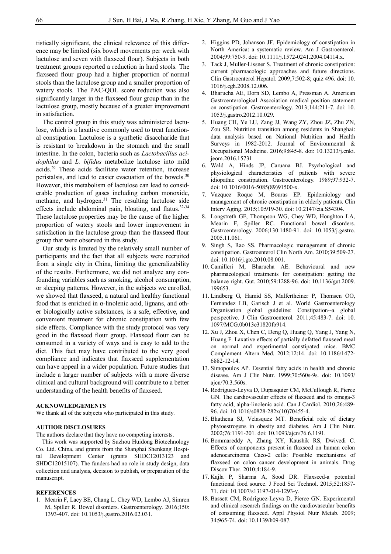tistically significant, the clinical relevance of this difference may be limited (six bowel movements per week with lactulose and seven with flaxseed flour). Subjects in both treatment groups reported a reduction in hard stools. The flaxseed flour group had a higher proportion of normal stools than the lactulose group and a smaller proportion of watery stools. The PAC-QOL score reduction was also significantly larger in the flaxseed flour group than in the lactulose group, mostly because of a greater improvement in satisfaction.

The control group in this study was administered lactulose, which is a laxative commonly used to treat functional constipation. Lactulose is a synthetic disaccharide that is resistant to breakdown in the stomach and the small intestine. In the colon, bacteria such as *Lactobacillus acidophilus* and *L. bifidus* metabolize lactulose into mild acids.<sup>29</sup> These acids facilitate water retention, increase peristalsis, and lead to easier evacuation of the bowels.<sup>30</sup> However, this metabolism of lactulose can lead to considerable production of gases including carbon monoxide, methane, and hydrogen.<sup>31</sup> The resulting lactulose side effects include abdominal pain, bloating, and flatus. $32-34$ These lactulose properties may be the cause of the higher proportion of watery stools and lower improvement in satisfaction in the lactulose group than the flaxseed flour group that were observed in this study.

Our study is limited by the relatively small number of participants and the fact that all subjects were recruited from a single city in China, limiting the generalizability of the results. Furthermore, we did not analyze any confounding variables such as smoking, alcohol consumption, or sleeping patterns. However, in the subjects we enrolled, we showed that flaxseed, a natural and healthy functional food that is enriched in α-linolenic acid, lignans, and other biologically active substances, is a safe, effective, and convenient treatment for chronic constipation with few side effects. Compliance with the study protocol was very good in the flaxseed flour group. Flaxseed flour can be consumed in a variety of ways and is easy to add to the diet. This fact may have contributed to the very good compliance and indicates that flaxseed supplementation can have appeal in a wider population. Future studies that include a larger number of subjects with a more diverse clinical and cultural background will contribute to a better understanding of the health benefits of flaxseed.

#### **ACKNOWLEDGEMENTS**

We thank all of the subjects who participated in this study.

#### **AUTHOR DISCLOSURES**

The authors declare that they have no competing interests.

This work was supported by Suzhou Huidong Biotechnology Co. Ltd. China, and grants from the Shanghai Shenkang Hospital Development Center (grants SHDC12013123 and SHDC12015107). The funders had no role in study design, data collection and analysis, decision to publish, or preparation of the manuscript.

#### **REFERENCES**

1. Mearin F, Lacy BE, Chang L, Chey WD, Lembo AJ, Simren M, Spiller R. Bowel disorders. Gastroenterology. 2016;150: 1393-407. doi: 10.1053/j.gastro.2016.02.031.

- 2. Higgins PD, Johanson JF. Epidemiology of constipation in North America: a systematic review. Am J Gastroenterol. 2004;99:750-9. doi: 10.1111/j.1572-0241.2004.04114.x.
- 3. Tack J, Muller-Lissner S. Treatment of chronic constipation: current pharmacologic approaches and future directions. Clin Gastroenterol Hepatol. 2009;7:502-8; quiz 496. doi: 10. 1016/j.cgh.2008.12.006.
- 4. Bharucha AE, Dorn SD, Lembo A, Pressman A. American Gastroenterological Association medical position statement on constipation. Gastroenterology. 2013;144:211-7. doi: 10. 1053/j.gastro.2012.10.029.
- 5. Huang CH, Ye LU, Zang JJ, Wang ZY, Zhou JZ, Zhu ZN, Zou SR. Nutrition transition among residents in Shanghai: data analysis based on National Nutrition and Health Surveys in 1982-2012. Journal of Environmental & Occupational Medicine. 2016;9:845-8. doi: 10.13213/j.cnki. jeom.2016.15731
- 6. Wald A, Hinds JP, Caruana BJ. Psychological and physiological characteristics of patients with severe idiopathic constipation. Gastroenterology. 1989;97:932-7. doi: 10.1016/0016-5085(89)91500-x.
- 7. Vazquez Roque M, Bouras EP. Epidemiology and management of chronic constipation in elderly patients. Clin Interv Aging. 2015;10:919-30. doi: 10.2147/cia.S54304.
- 8. Longstreth GF, Thompson WG, Chey WD, Houghton LA, Mearin F, Spiller RC. Functional bowel disorders. Gastroenterology. 2006;130:1480-91. doi: 10.1053/j.gastro. 2005.11.061.
- 9. Singh S, Rao SS. Pharmacologic management of chronic constipation. Gastroenterol Clin North Am. 2010;39:509-27. doi: 10.1016/j.gtc.2010.08.001.
- 10. Camilleri M, Bharucha AE. Behavioural and new pharmacological treatments for constipation: getting the balance right. Gut. 2010;59:1288-96. doi: 10.1136/gut.2009. 199653.
- 11. Lindberg G, Hamid SS, Malfertheiner P, Thomsen OO, Fernandez LB, Garisch J et al. World Gastroenterology Organisation global guideline: Constipation--a global perspective. J Clin Gastroenterol. 2011;45:483-7. doi: 10. 1097/MCG.0b013e31820fb914.
- 12. Xu J, Zhou X, Chen C, Deng Q, Huang Q, Yang J, Yang N, Huang F. Laxative effects of partially defatted flaxseed meal on normal and experimental constipated mice. BMC Complement Altern Med. 2012;12:14. doi: 10.1186/1472- 6882-12-14.
- 13. Simopoulos AP. Essential fatty acids in health and chronic disease. Am J Clin Nutr. 1999;70:560s-9s. doi: 10.1093/ ajcn/70.3.560s.
- 14. Rodriguez-Leyva D, Dupasquier CM, McCullough R, Pierce GN. The cardiovascular effects of flaxseed and its omega-3 fatty acid, alpha-linolenic acid. Can J Cardiol. 2010;26:489- 96. doi: 10.1016/s0828-282x(10)70455-4.
- 15. Bhathena SJ, Velasquez MT. Beneficial role of dietary phytoestrogens in obesity and diabetes. Am J Clin Nutr. 2002;76:1191-201. doi: 10.1093/ajcn/76.6.1191.
- 16. Bommareddy A, Zhang XY, Kaushik RS, Dwivedi C. Effects of components present in flaxseed on human colon adenocarcinoma Caco-2 cells: Possible mechanisms of flaxseed on colon cancer development in animals. Drug Discov Ther. 2010;4:184-9.
- 17. Kajla P, Sharma A, Sood DR. Flaxseed-a potential functional food source. J Food Sci Technol. 2015;52:1857- 71. doi: 10.1007/s13197-014-1293-y.
- 18. Bassett CM, Rodriguez-Leyva D, Pierce GN. Experimental and clinical research findings on the cardiovascular benefits of consuming flaxseed. Appl Physiol Nutr Metab. 2009; 34:965-74. doi: 10.1139/h09-087.